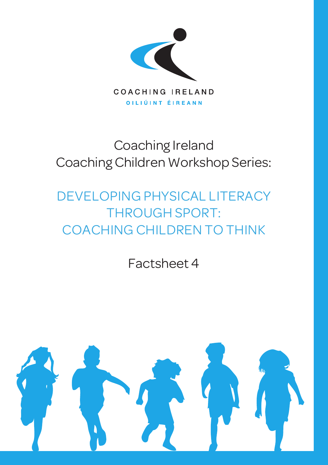

# Coaching Ireland Coaching Children Workshop Series:

# DEVELOPING PHYSICAL LITERACY THROUGH SPORT: COACHING CHILDREN TO THINK

Factsheet 4

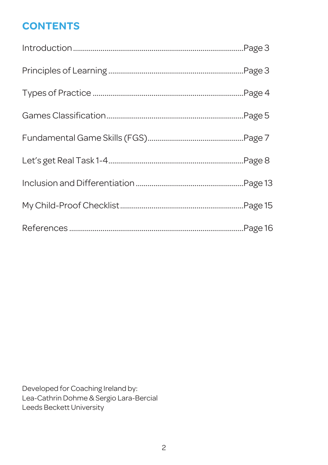## **CONTENTS**

Developed for Coaching Ireland by: Lea-Cathrin Dohme & Sergio Lara-Bercial Leeds Beckett University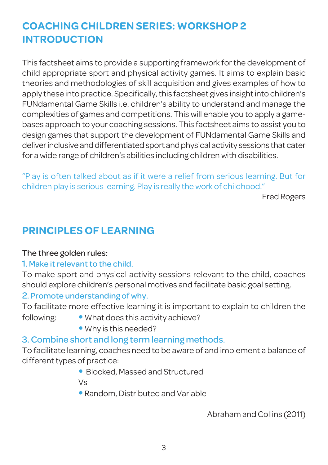### **COACHING CHILDREN SERIES: WORKSHOP 2 INTRODUCTION**

This factsheet aims to provide a supporting framework for the development of child appropriate sport and physical activity games. It aims to explain basic theories and methodologies of skill acquisition and gives examples of how to apply these into practice. Specifically, this factsheet gives insight into children's FUNdamental Game Skills i.e. children's ability to understand and manage the complexities of games and competitions. This will enable you to apply a gamebases approach to your coaching sessions. This factsheet aims to assist you to design games that support the development of FUNdamental Game Skills and deliver inclusive and differentiated sport and physical activity sessions that cater for a wide range of children's abilities including children with disabilities.

"Play is often talked about as if it were a relief from serious learning. But for children play is serious learning. Play is really the work of childhood."

Fred Rogers

### **PRINCIPLES OF LEARNING**

#### The three golden rules:

#### 1. Make it relevant to the child.

To make sport and physical activity sessions relevant to the child, coaches should explore children's personal motives and facilitate basic goal setting.

#### 2. Promote understanding of why.

To facilitate more effective learning it is important to explain to children the

- 
- following: • What does this activity achieve?
	- Why is this needed?

### 3. Combine short and long term learning methods.

To facilitate learning, coaches need to be aware of and implement a balance of different types of practice:

• Blocked, Massed and Structured

Vs

• Random, Distributed and Variable

Abraham and Collins (2011)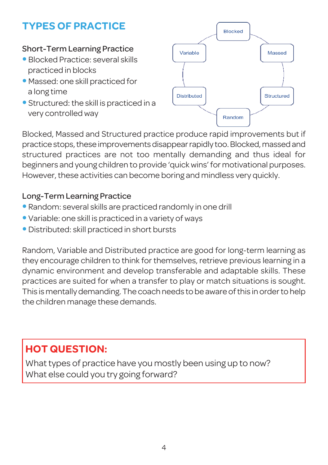# **TYPES OF PRACTICE**

#### Short-Term Learning Practice

- Blocked Practice: several skills practiced in blocks
- Massed: one skill practiced for a long time
- $\bullet$  Structured: the skill is practiced in a very controlled way



Blocked, Massed and Structured practice produce rapid improvements but if practice stops, these improvements disappear rapidly too. Blocked, massed and structured practices are not too mentally demanding and thus ideal for beginners and young children to provide 'quickwins'for motivational purposes. However, these activities can become boring and mindless very quickly.

#### Long-Term Learning Practice

- Random: several skills are practiced randomly in one drill
- Variable: one skill is practiced in a variety of ways
- Distributed: skill practiced in short bursts

Random, Variable and Distributed practice are good for long-term learning as they encourage children to think for themselves, retrieve previous learning in a dynamic environment and develop transferable and adaptable skills. These practices are suited for when a transfer to play or match situations is sought. This is mentally demanding.The coach needs to be aware ofthis in orderto help the children manage these demands.

# **HOT QUESTION:**

What types of practice have you mostly been using up to now? What else could you try going forward?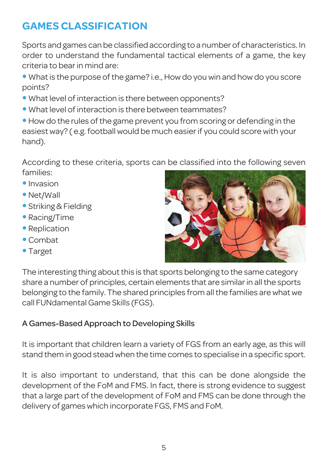# **GAMES CLASSIFICATION**

Sports and games can be classified according to a number of characteristics. In order to understand the fundamental tactical elements of a game, the key criteria to bear in mind are:

- What is the purpose of the game? i.e., How do you win and how do you score points?
- What level of interaction is there between opponents?
- What level of interaction is there between teammates?

• How do the rules of the game prevent you from scoring or defending in the easiest way? ( e.g. football would be much easier if you could score with your hand).

According to these criteria, sports can be classified into the following seven families:

- Invasion
- Net/Wall
- Striking & Fielding
- Racing/Time
- Replication
- Combat
- Target



The interesting thing about this is that sports belonging to the same category share a number of principles, certain elements that are similar in all the sports belonging to the family. The shared principles from all the families are what we call FUNdamental Game Skills (FGS).

#### A Games-Based Approach to Developing Skills

It is important that children learn a variety of FGS from an early age, as this will stand them in good steadwhen the time comes to specialise in a specific sport.

It is also important to understand, that this can be done alongside the development of the FoM and FMS. In fact, there is strong evidence to suggest that a large part of the development of FoM and FMS can be done through the delivery of games which incorporate FGS, FMS and FoM.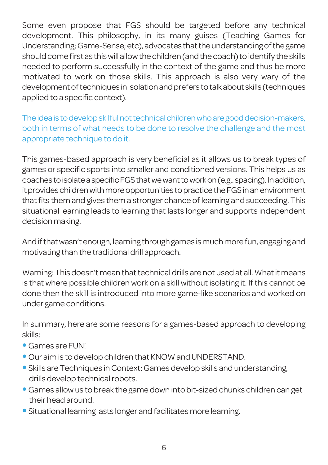Some even propose that FGS should be targeted before any technical development. This philosophy, in its many guises (Teaching Games for Understanding; Game-Sense; etc), advocates that the understanding of the game should come first as this will allow the children (and the coach) to identify the skills needed to perform successfully in the context of the game and thus be more motivated to work on those skills. This approach is also very wary of the development of techniques in isolation and prefers to talk about skills (techniques applied to a specific context).

Theideais todevelopskilfulnottechnicalchildrenwhoaregooddecision-makers, both in terms of what needs to be done to resolve the challenge and the most appropriate technique to do it.

This games-based approach is very beneficial as it allows us to break types of games or specific sports into smaller and conditioned versions. This helps us as coaches toisolateaspecificFGSthatwewanttoworkon(e.g.. spacing).Inaddition, it provides children with more opportunities to practice the FGS in an environment that fits them and gives them a stronger chance of learning and succeeding. This situational learning leads to learning that lasts longer and supports independent decision making.

And if that wasn't enough, learning through games is much more fun, engaging and motivating than the traditional drill approach.

Warning:This doesn't mean thattechnical drills are not used at all.Whatit means is that where possible children work on a skill without isolating it. If this cannot be done then the skill is introduced into more game-like scenarios and worked on under game conditions.

In summary, here are some reasons for a games-based approach to developing skills:

- Games are FUN!
- Our aim is to develop children that KNOW and UNDERSTAND.
- Skills are Techniques in Context: Games develop skills and understanding, drills develop technical robots.
- Games allowus to break the game down into bit-sized chunks children can get their head around.
- Situational learning lasts longer and facilitates more learning.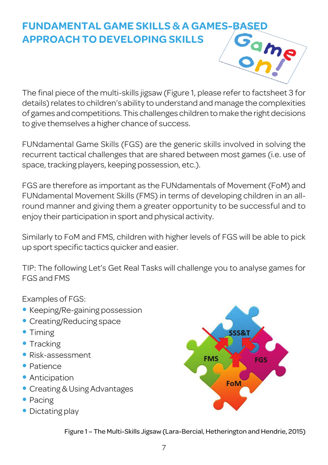# **FUNDAMENTAL GAME SKILLS & A GAMES-BASED APPROACH TO DEVELOPING SKILLS**



The final piece of the multi-skills jigsaw (Figure 1, please refer to factsheet 3 for details)relates to children's ability to understand and manage the complexities of games and competitions. This challenges children to make the right decisions to give themselves a higher chance of success.

FUNdamental Game Skills (FGS) are the generic skills involved in solving the recurrent tactical challenges that are shared between most games (i.e. use of space, tracking players, keeping possession, etc.).

FGS are therefore as important as the FUNdamentals of Movement (FoM) and FUNdamental Movement Skills (FMS) in terms of developing children in an allround manner and giving them a greater opportunity to be successful and to enjoy their participation in sport and physical activity.

Similarly to FoM and FMS, children with higher levels of FGS will be able to pick up sport specific tactics quicker and easier.

TIP: The following Let's Get Real Tasks will challenge you to analyse games for FGS and FMS

Examples of FGS:

- Keeping/Re-gaining possession
- Creating/Reducing space
- Timing
- Tracking
- Risk-assessment
- Patience
- Anticipation
- Creating & Using Advantages
- Pacing
- Dictating play



Figure 1 - The Multi-Skills Jigsaw (Lara-Bercial, Hetherington and Hendrie, 2015)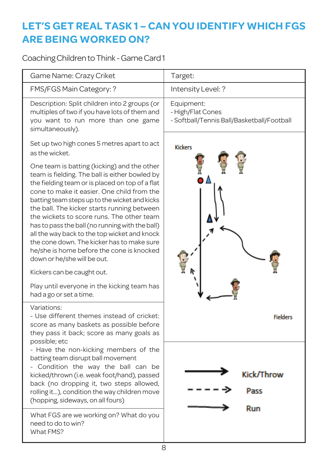### **LET'S GET REAL TASK 1 – CAN YOU IDENTIFY WHICH FGS ARE BEING WORKED ON?**

Coaching Children to Think - Game Card 1

| Game Name: Crazy Criket                                                                                                                                                                                                                                                                                                                                                                                                                                                                                                                                                  | Target:                                                                       |
|--------------------------------------------------------------------------------------------------------------------------------------------------------------------------------------------------------------------------------------------------------------------------------------------------------------------------------------------------------------------------------------------------------------------------------------------------------------------------------------------------------------------------------------------------------------------------|-------------------------------------------------------------------------------|
| FMS/FGS Main Category: ?                                                                                                                                                                                                                                                                                                                                                                                                                                                                                                                                                 | Intensity Level: ?                                                            |
| Description: Split children into 2 groups (or<br>multiples of two if you have lots of them and<br>you want to run more than one game<br>simultaneously).                                                                                                                                                                                                                                                                                                                                                                                                                 | Equipment:<br>- High/Flat Cones<br>- Softball/Tennis Ball/Basketball/Football |
| Set up two high cones 5 metres apart to act<br>as the wicket.                                                                                                                                                                                                                                                                                                                                                                                                                                                                                                            | <b>Kickers</b>                                                                |
| One team is batting (kicking) and the other<br>team is fielding. The ball is either bowled by<br>the fielding team or is placed on top of a flat<br>cone to make it easier. One child from the<br>batting team steps up to the wicket and kicks<br>the ball. The kicker starts running between<br>the wickets to score runs. The other team<br>has to pass the ball (no running with the ball)<br>all the way back to the top wicket and knock<br>the cone down. The kicker has to make sure<br>he/she is home before the cone is knocked<br>down or he/she will be out. |                                                                               |
| Kickers can be caught out.<br>Play until everyone in the kicking team has<br>had a go or set a time.                                                                                                                                                                                                                                                                                                                                                                                                                                                                     |                                                                               |
| Variations:<br>- Use different themes instead of cricket:<br>score as many baskets as possible before<br>they pass it back; score as many goals as                                                                                                                                                                                                                                                                                                                                                                                                                       | <b>Fielders</b>                                                               |
| possible; etc<br>- Have the non-kicking members of the<br>batting team disrupt ball movement<br>- Condition the way the ball can be<br>kicked/thrown (i.e. weak foot/hand), passed<br>back (no dropping it, two steps allowed,<br>rolling it), condition the way children move<br>(hopping, sideways, on all fours)                                                                                                                                                                                                                                                      | Kick/Throw<br>Расс<br>Run                                                     |
| What FGS are we working on? What do you<br>need to do to win?<br>What FMS?                                                                                                                                                                                                                                                                                                                                                                                                                                                                                               |                                                                               |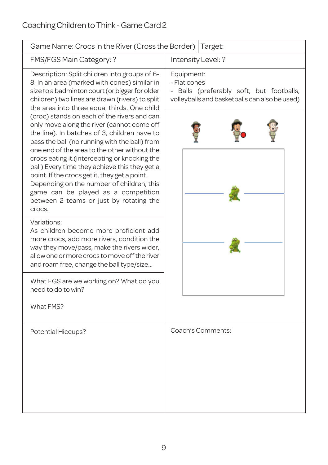| Game Name: Crocs in the River (Cross the Border)                                                                                                                                                                                                                                                                                                                                                                                                                                                                                        | Target:                                                                                                                 |  |  |
|-----------------------------------------------------------------------------------------------------------------------------------------------------------------------------------------------------------------------------------------------------------------------------------------------------------------------------------------------------------------------------------------------------------------------------------------------------------------------------------------------------------------------------------------|-------------------------------------------------------------------------------------------------------------------------|--|--|
| FMS/FGS Main Category: ?                                                                                                                                                                                                                                                                                                                                                                                                                                                                                                                | Intensity Level: ?                                                                                                      |  |  |
| Description: Split children into groups of 6-<br>8. In an area (marked with cones) similar in<br>size to a badminton court (or bigger for older<br>children) two lines are drawn (rivers) to split<br>the area into three equal thirds. One child                                                                                                                                                                                                                                                                                       | Equipment:<br>- Flat cones<br>- Balls (preferably soft, but footballs,<br>volleyballs and basketballs can also be used) |  |  |
| (croc) stands on each of the rivers and can<br>only move along the river (cannot come off<br>the line). In batches of 3, children have to<br>pass the ball (no running with the ball) from<br>one end of the area to the other without the<br>crocs eating it. (intercepting or knocking the<br>ball) Every time they achieve this they get a<br>point. If the crocs get it, they get a point.<br>Depending on the number of children, this<br>game can be played as a competition<br>between 2 teams or just by rotating the<br>crocs. |                                                                                                                         |  |  |
| Variations:<br>As children become more proficient add<br>more crocs, add more rivers, condition the<br>way they move/pass, make the rivers wider,<br>allow one or more crocs to move off the river<br>and roam free, change the ball type/size                                                                                                                                                                                                                                                                                          |                                                                                                                         |  |  |
| What FGS are we working on? What do you<br>need to do to win?                                                                                                                                                                                                                                                                                                                                                                                                                                                                           |                                                                                                                         |  |  |
| What FMS?                                                                                                                                                                                                                                                                                                                                                                                                                                                                                                                               |                                                                                                                         |  |  |
| Potential Hiccups?                                                                                                                                                                                                                                                                                                                                                                                                                                                                                                                      | Coach's Comments:                                                                                                       |  |  |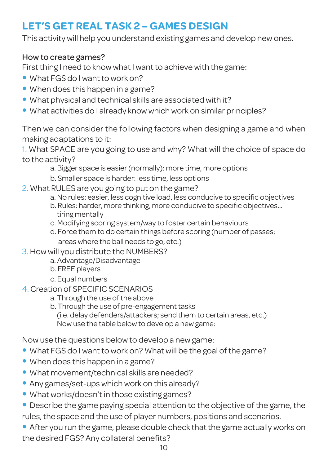## **LET'S GET REAL TASK 2 – GAMES DESIGN**

This activity will help you understand existing games and develop new ones.

#### How to create games?

First thing I need to know what I want to achieve with the game:

- What FGS do I want to work on?
- When does this happen in a game?
- What physical and technical skills are associated with it?
- What activities do I already know which work on similar principles?

Then we can consider the following factors when designing a game and when making adaptations to it:

1. What SPACE are you going to use and why? What will the choice of space do to the activity?

- a. Bigger space is easier(normally): more time, more options
- b. Smaller space is harder: less time, less options
- 2. What RULES are you going to put on the game?
	- a. No rules: easier, less cognitive load, less conducive to specific objectives
	- b. Rules: harder, more thinking, more conducive to specific objectives… tiring mentally
	- c. Modifying scoring system/way to foster certain behaviours
	- d. Force them to do certain things before scoring (number of passes; areas where the ball needs to go, etc.)
- 3. How will you distribute the NUMBERS?
	- a. Advantage/Disadvantage
	- b. FREE players
	- c. Equal numbers
- 4. Creation of SPECIFIC SCENARIOS
	- a. Through the use of the above
	- b. Through the use of pre-engagement tasks

(i.e. delay defenders/attackers; send them to certain areas, etc.) Now use the table below to develop a new game:

Now use the questions below to develop a new game:

- What FGS do I want to work on? What will be the goal of the game?
- When does this happen in a game?
- What movement/technical skills are needed?
- Any games/set-ups which work on this already?
- What works/doesn't in those existing games?
- Describe the game paying special attention to the objective of the game, the rules, the space and the use of player numbers, positions and scenarios.
- After you run the game, please double check that the game actually works on the desired FGS? Any collateral benefits?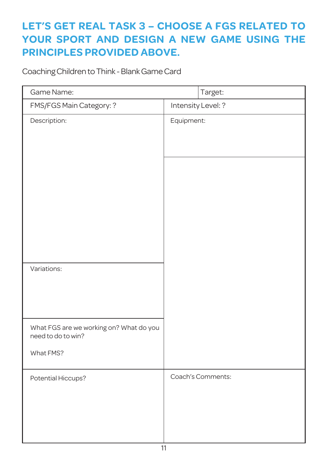## **LET'S GET REAL TASK 3 – CHOOSE A FGS RELATED TO YOUR SPORT AND DESIGN A NEW GAME USING THE PRINCIPLES PROVIDED ABOVE.**

Coaching Children to Think - Blank Game Card

| Game Name:                                                    | Target:            |  |  |
|---------------------------------------------------------------|--------------------|--|--|
| FMS/FGS Main Category: ?                                      | Intensity Level: ? |  |  |
| Description:                                                  | Equipment:         |  |  |
|                                                               |                    |  |  |
|                                                               |                    |  |  |
| Variations:                                                   |                    |  |  |
| What FGS are we working on? What do you<br>need to do to win? |                    |  |  |
| What FMS?                                                     |                    |  |  |
| Potential Hiccups?                                            | Coach's Comments:  |  |  |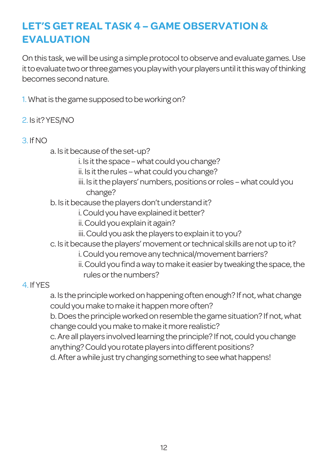### **LET'S GET REAL TASK 4 – GAME OBSERVATION & EVALUATION**

On this task, we will be using a simple protocol to observe and evaluate games. Use it to evaluate two or three games you play with your players until it this way of thinking becomes secondnature.

1. What is the game supposed to be working on?

2. Is it? YES/NO

#### 3. IfNO

a. Is it because of the set-up?

- i. Is it the space what could you change?
- ii. Is it the rules what could you change?
- iii. Is it the players' numbers, positions or roles what could you change?

b. Is it because the players don't understand it?

- i. Could you have explained it better?
- ii. Could you explain it again?
- iii. Could you ask the players to explain it to you?
- c. Is it because the players' movement or technical skills are not up to it?
	- i. Could you remove any technical/movement barriers?
	- ii. Could you find a way to make it easier by tweaking the space, the rules or the numbers?

#### 4. IfYES

a. Is the principle worked on happening often enough? If not, what change could you make to make it happen more often?

b. Does the principle worked on resemble the game situation? If not, what change could you make to make it more realistic?

c. Are all players involved learning the principle? If not, could you change anything? Could you rotate players into different positions?

d. After a while just try changing something to see what happens!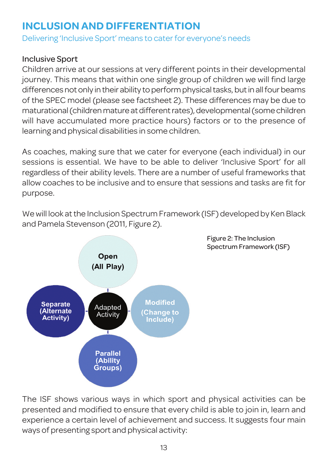### **INCLUSION AND DIFFERENTIATION**

Delivering 'Inclusive Sport' means to cater for everyone's needs

#### Inclusive Sport

Children arrive at our sessions at very different points in their developmental journey. This means that within one single group of children we will find large differences not only in their ability to perform physical tasks, but in all four beams of the SPEC model (please see factsheet 2). These differences may be due to maturational (children mature at different rates), developmental (some children will have accumulated more practice hours) factors or to the presence of learning and physical disabilities in some children.

As coaches, making sure that we cater for everyone (each individual) in our sessions is essential. We have to be able to deliver 'Inclusive Sport' for all regardless of their ability levels. There are a number of useful frameworks that allow coaches to be inclusive and to ensure that sessions and tasks are fit for purpose.

We will look at the Inclusion Spectrum Framework (ISF) developed by Ken Black and Pamela Stevenson (2011, Figure 2).



Figure 2: The Inclusion Spectrum Framework (ISF)

The ISF shows various ways in which sport and physical activities can be presented and modified to ensure that every child is able to join in, learn and experience a certain level of achievement and success. It suggests four main ways of presenting sport and physical activity: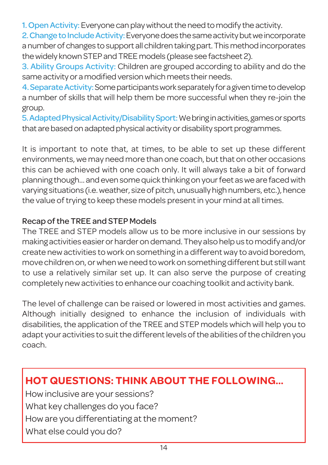1. Open Activity: Everyone can play without the need to modify the activity.

2. Change to Include Activity: Everyone does the same activity but we incorporate a number of changes to support all children taking part. This method incorporates the widely known STEP and TREE models (please see factsheet 2).

3. Ability Groups Activity: Children are grouped according to ability and do the same activity or a modified version which meets their needs.

4. Separate Activity: Some participants work separately for a given time to develop a number of skills that will help them be more successful when they re-join the group.

5.AdaptedPhysicalActivity/DisabilitySport:Webringinactivities,gamesorsports that are based on adapted physical activity or disability sport programmes.

It is important to note that, at times, to be able to set up these different environments, we may need more than one coach, but that on other occasions this can be achieved with one coach only. It will always take a bit of forward planning though... and even some quick thinking on your feet as we are faced with varying situations (i.e. weather, size of pitch, unusually high numbers, etc.), hence the value of trying to keep these models present in your mind at all times.

#### Recap of the TREE and STEP Models

The TREE and STEP models allow us to be more inclusive in our sessions by making activities easier or harder on demand. They also help us to modify and/or create newactivities towork on something in a differentway to avoid boredom, move children on, orwhenwe need towork on something different but stillwant to use a relatively similar set up. It can also serve the purpose of creating completely new activities to enhance our coaching toolkit and activity bank.

The level of challenge can be raised or lowered in most activities and games. Although initially designed to enhance the inclusion of individuals with disabilities, the application of the TREE and STEP models which will help you to adapt your activities to suit the different levels of the abilities of the children you coach.

### **HOT QUESTIONS: THINK ABOUT THE FOLLOWING…**

How inclusive are your sessions? What key challenges do you face? How are you differentiating at the moment? What else could you do?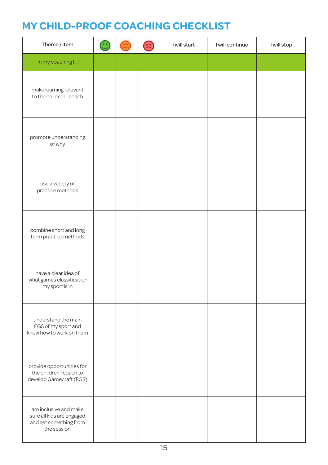### **MY CHILD-PROOF COACHING CHECKLIST**

| Theme / Item                                                                                | $\bigodot$ | E | I will start | I will continue | I will stop |
|---------------------------------------------------------------------------------------------|------------|---|--------------|-----------------|-------------|
| In my coaching I                                                                            |            |   |              |                 |             |
| make learning relevant<br>to the children I coach                                           |            |   |              |                 |             |
| promote understanding<br>of why                                                             |            |   |              |                 |             |
| use a variety of<br>practice methods                                                        |            |   |              |                 |             |
| combine short and long<br>term practice methods                                             |            |   |              |                 |             |
| have a clear idea of<br>what games classification<br>my sport is in                         |            |   |              |                 |             |
| understand the main<br>FGS of my sport and<br>know how to work on them                      |            |   |              |                 |             |
| provide opportunities for<br>the children I coach to<br>develop Gamecraft (FGS)             |            |   |              |                 |             |
| am inclusive and make<br>sure all kids are engaged<br>and get something from<br>the session |            |   |              |                 |             |